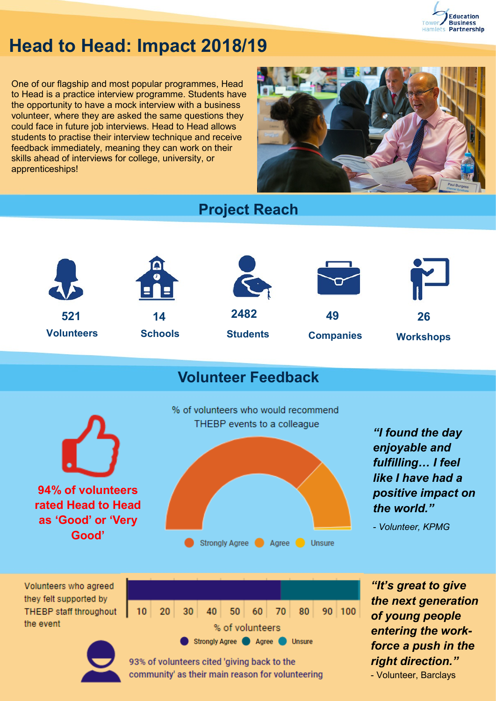

# **Head to Head: Impact 2018/19**

One of our flagship and most popular programmes, Head to Head is a practice interview programme. Students have the opportunity to have a mock interview with a business volunteer, where they are asked the same questions they could face in future job interviews. Head to Head allows students to practise their interview technique and receive feedback immediately, meaning they can work on their skills ahead of interviews for college, university, or apprenticeships!



## **Project Reach**



## **Volunteer Feedback**



93% of volunteers cited 'giving back to the community' as their main reason for volunteering *the next generation force a push in the right direction."*  - Volunteer, Barclays